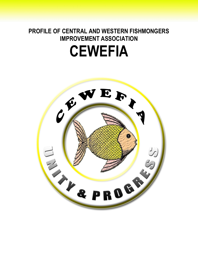# **PROFILE OF CENTRAL AND WESTERN FISHMONGERS IMPROVEMENT ASSOCIATION CEWEFIA**

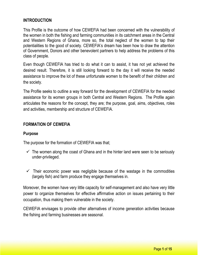#### **INTRODUCTION**

This Profile is the outcome of how CEWEFIA had been concerned with the vulnerability of the women in both the fishing and farming communities in its catchment areas in the Central and Western Regions of Ghana, more so, the total neglect of the women to tap their potentialities to the good of society. CEWEFIA's dream has been how to draw the attention of Government, Donors and other benevolent partners to help address the problems of this class of people.

Even though CEWEFIA has tried to do what it can to assist, it has not yet achieved the desired result. Therefore, it is still looking forward to the day it will receive the needed assistance to improve the lot of these unfortunate women to the benefit of their children and the society.

The Profile seeks to outline a way forward for the development of CEWEFIA for the needed assistance for its women groups in both Central and Western Regions. The Profile again articulates the reasons for the concept, they are; the purpose, goal, aims, objectives, roles and activities, membership and structure of CEWEFIA.

#### **FORMATION OF CEWEFIA**

#### **Purpose**

The purpose for the formation of CEWEFIA was that;

- $\checkmark$  The women along the coast of Ghana and in the hinter land were seen to be seriously under-privileged.
- $\checkmark$  Their economic power was negligible because of the wastage in the commodities (largely fish) and farm produce they engage themselves in.

Moreover, the women have very little capacity for self-management and also have very little power to organize themselves for effective affirmative action on issues pertaining to their occupation, thus making them vulnerable in the society.

CEWEFIA envisages to provide other alternatives of income generation activities because the fishing and farming businesses are seasonal.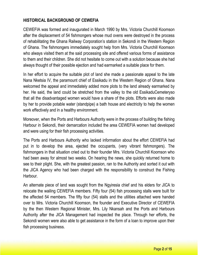## **HISTORICAL BACKGROUND OF CEWEFIA**

CEWEFIA was formed and inaugurated in March 1990 by Mrs. Victoria Churchill Koomson after the displacement of 54 fishmongers whose mud ovens were destroyed in the process of rehabilitating the Ghana Railway Corporation's station in Sekondi in the Western Region of Ghana. The fishmongers immediately sought help from Mrs. Victoria Churchill Koomson who always visited them at the said processing site and offered various forms of assistance to them and their children. She did not hesitate to come out with a solution because she had always thought of their possible ejection and had earmarked a suitable place for them.

In her effort to acquire the suitable plot of land she made a passionate appeal to the late Nana Nketsia IV, the paramount chief of Essikadu in the Western Region of Ghana. Nana welcomed the appeal and immediately added more plots to the land already earmarked by her. He said, the land could be stretched from the valley to the old EssikaduCemeteryso that all the disadvantaged women would have a share of the plots. Efforts were also made by her to provide potable water (standpipe) a bath house and electricity to help the women work effectively and in a healthy environment.

Moreover, when the Ports and Harbours Authority were in the process of building the fishing Harbour in Sekondi, their demarcation included the area CEWEFIA women had developed and were using for their fish processing activities.

The Ports and Harbours Authority who lacked information about the effort CEWEFIA had put in to develop the area, ejected the occupants, (very vibrant fishmongers). The fishmongers in that situation cried out to their founder Mrs. Victoria Churchill Koomson who had been away for almost two weeks. On hearing the news, she quickly returned home to see to their plight. She, with the greatest passion, ran to the Authority and sorted it out with the JICA Agency who had been charged with the responsibility to construct the Fishing Harbour.

An alternate piece of land was sought from the Ngyiresia chief and his elders for JICA to relocate the wailing CEWEFIA members. Fifty four (54) fish processing stalls were built for the affected 54 members. The fifty four (54) stalls and the utilities attached were handed over to Mrs. Victoria Churchill Koomson, the founder and Executive Director of CEWEFIA by the then Western Regional Minister, Mrs. Lily Nkansah and the Ports and Harbours Authority after the JICA Management had inspected the place. Through her efforts, the Sekondi women were also able to get assistance in the form of a loan to improve upon their fish processing business.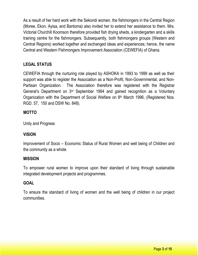As a result of her hard work with the Sekondi women, the fishmongers in the Central Region (Moree, Ekon, Ayisa, and Bantoma) also invited her to extend her assistance to them. Mrs. Victorial Churchill Koomson therefore provided fish drying sheds, a kindergarten and a skills training centre for the fishmongers. Subsequently, both fishmongers groups (Western and Central Regions) worked together and exchanged ideas and experiences; hence, the name Central and Western Fishmongers Improvement Association (CEWEFIA) of Ghana.

## **LEGAL STATUS**

CEWEFIA through the nurturing role played by ASHOKA in 1993 to 1999 as well as their support was able to register the Association as a Non-Profit, Non-Governmental, and Non-Partisan Organization. The Association therefore was registered with the Registrar General's Department on 3rd September 1994 and gained recognition as a Voluntary Organization with the Department of Social Welfare on  $8<sup>th</sup>$  March 1996, (Registered Nos. RGD. 57, 150 and DSW No. 848).

### **MOTTO**

Unity and Progress

## **VISION**

Improvement of Socio – Economic Status of Rural Women and well being of Children and the community as a whole.

#### **MISSION**

To empower rural women to improve upon their standard of living through sustainable integrated development projects and programmes.

#### **GOAL**

To ensure the standard of living of women and the well being of children in our project communities.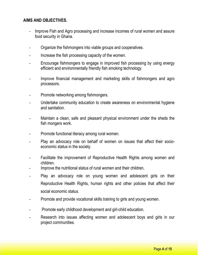### **AIMS AND OBJECTIVES.**

- Improve Fish and Agro processing and increase incomes of rural women and assure food security in Ghana.
- Organize the fishmongers into viable groups and cooperatives.
- Increase the fish processing capacity of the women.
- Encourage fishmongers to engage in improved fish processing by using energy efficient and environmentally friendly fish smoking technology.
- Improve financial management and marketing skills of fishmongers and agro processors.
- Promote networking among fishmongers.
- Undertake community education to create awareness on environmental hygiene and sanitation.
- Maintain a clean, safe and pleasant physical environment under the sheds the fish mongers work.
- Promote functional literacy among rural women.
- Play an advocacy role on behalf of women on issues that affect their socioeconomic status in the society.
- Facilitate the improvement of Reproductive Health Rights among women and children.
- Improve the nutritional status of rural women and their children.
- Play an advocacy role on young women and adolescent girls on their Reproductive Health Rights, human rights and other policies that affect their social economic status.
- Promote and provide vocational skills training to girls and young women.
- Promote early childhood development and girl-child education.
- Research into issues affecting women and adolescent boys and girls in our project communities.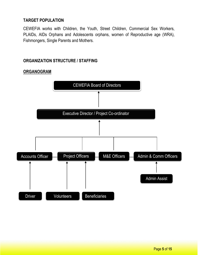## **TARGET POPULATION**

CEWEFIA works with Children, the Youth, Street Children, Commercial Sex Workers, PLAIDs, AIDs Orphans and Adolescents orphans, women of Reproductive age (WRA), Fishmongers, Single Parents and Mothers.

## **ORGANIZATION STRUCTURE / STAFFING**



## **ORGANOGRAM**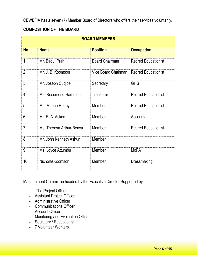CEWEFIA has a seven (7) Member Board of Directors who offers their services voluntarily.

## **COMPOSITION OF THE BOARD**

| <b>BOARD MEMBERS</b> |                          |                       |                             |  |
|----------------------|--------------------------|-----------------------|-----------------------------|--|
| <b>No</b>            | <b>Name</b>              | <b>Position</b>       | <b>Occupation</b>           |  |
| 1                    | Mr. Badu Prah            | <b>Board Chairman</b> | <b>Retired Educationist</b> |  |
| $\overline{2}$       | Mr. J. B. Koomson        | Vice Board Chairman   | <b>Retired Educationist</b> |  |
| 3                    | Mr. Joseph Cudjoe        | Secretary             | <b>GHS</b>                  |  |
| 4                    | Ms. Rosemond Hammond     | Treasurer             | <b>Retired Educationist</b> |  |
| 5                    | Ms. Marian Honey         | Member                | <b>Retired Educationist</b> |  |
| 6                    | Mr. E. A. Ackon          | Member                | Accountant                  |  |
| $\overline{7}$       | Ms. Theresa Arthur-Benya | Member                | <b>Retired Educationist</b> |  |
| 8                    | Mr. John Kenneth Ashun   | Member                |                             |  |
| 9                    | Ms. Joyce Attumbu        | Member                | <b>MoFA</b>                 |  |
| 10                   | NicholasKoomson          | Member                | Dressmaking                 |  |

Management Committee headed by the Executive Director Supported by;

- The Project Officer
- Assistant Project Officer
- Administrative Officer
- Communications Officer
- Account Officer
- Monitoring and Evaluation Officer
- Secretary / Receptionist
- 7 Volunteer Workers.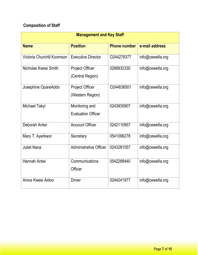## **Composition of Staff**

| <b>Management and Key Staff</b> |                                             |                     |                  |  |
|---------------------------------|---------------------------------------------|---------------------|------------------|--|
| <b>Name</b>                     | <b>Position</b>                             | <b>Phone number</b> | e-mail address   |  |
| Victoria Churchill Koomson      | <b>Executive Director</b>                   | O244278377          | info@cewefia.org |  |
| Nicholas Kwesi Smith            | <b>Project Officer</b><br>(Central Region)  | 0268932330          | info@cewefia.org |  |
| Josephine OpareAddo             | <b>Project Officer</b><br>(Western Region)  | O244636501          | info@cewefia.org |  |
| Michael Takyi                   | Monitoring and<br><b>Evaluation Officer</b> | 0243935907          | info@cewefia.org |  |
| Deborah Antwi                   | <b>Account Officer</b>                      | 0242110957          | info@cewefia.org |  |
| Mary T. Ayerkwor                | Secretary                                   | 0541096278          | info@cewefia.org |  |
| <b>Juliet Nana</b>              | <b>Administrative Officer</b>               | 0243281057          | info@cewefia.org |  |
| <b>Hannah Antwi</b>             | Communications<br>Officer                   | 0542288440          | info@cewefia.org |  |
| Amos Kwesi Aidoo                | <b>Driver</b>                               | 0244241977          | info@cewefia.org |  |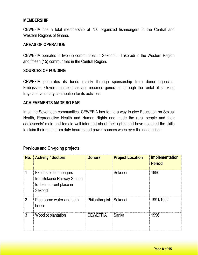#### **MEMBERSHIP**

CEWEFIA has a total membership of 750 organized fishmongers in the Central and Western Regions of Ghana.

#### **AREAS OF OPERATION**

CEWEFIA operates in two (2) communities in Sekondi – Takoradi in the Western Region and fifteen (15) communities in the Central Region.

#### **SOURCES OF FUNDING**

CEWEFIA generates its funds mainly through sponsorship from donor agencies, Embassies, Government sources and incomes generated through the rental of smoking trays and voluntary contribution for its activities.

#### **ACHIEVEMENTS MADE SO FAR**

In all the Seventeen communities, CEWEFIA has found a way to give Education on Sexual Health, Reproductive Health and Human Rights and made the rural people and their adolescents' male and female well informed about their rights and have acquired the skills to claim their rights from duty bearers and power sources when ever the need arises.

#### **Previous and On-going projects**

| No.            | <b>Activity / Sectors</b>                                                                            | <b>Donors</b>   | <b>Project Location</b> | <b>Implementation</b><br><b>Period</b> |
|----------------|------------------------------------------------------------------------------------------------------|-----------------|-------------------------|----------------------------------------|
|                | <b>Exodus of fishmongers</b><br>from Sekondi Railway Station<br>to their current place in<br>Sekondi |                 | Sekondi                 | 1990                                   |
| $\overline{2}$ | Pipe borne water and bath<br>house                                                                   | Philanthropist  | Sekondi                 | 1991/1992                              |
| 3              | Woodlot plantation                                                                                   | <b>CEWEFFIA</b> | Sanka                   | 1996                                   |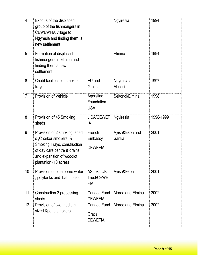| $\overline{4}$  | Exodus of the displaced<br>group of the fishmongers in<br>CEWEWFIA village to<br>Ngyresia and finding them a<br>new settlement                                                |                                              | Ngyiresia               | 1994      |
|-----------------|-------------------------------------------------------------------------------------------------------------------------------------------------------------------------------|----------------------------------------------|-------------------------|-----------|
| 5               | Formation of displaced<br>fishmongers in Elmina and<br>finding them a new<br>settlement                                                                                       |                                              | Elmina                  | 1994      |
| 6               | Credit facilities for smoking<br>trays                                                                                                                                        | EU and<br>Gratis                             | Ngyresia and<br>Abuesi  | 1997      |
| $\overline{7}$  | <b>Provision of Vehicle</b>                                                                                                                                                   | Agorstino<br>Foundation<br><b>USA</b>        | Sekondi/Elmina          | 1998      |
| 8               | Provision of 45 Smoking<br>sheds                                                                                                                                              | <b>JICA/CEWEF</b><br>IA                      | Ngyiresia               | 1998-1999 |
| 9               | Provision of 2 smoking shed<br>s, Chorkor smokers &<br><b>Smoking Trays, construction</b><br>of day care centre & drains<br>and expansion of woodlot<br>plantation (10 acres) | French<br>Embassy<br><b>CEWEFIA</b>          | Ayisa&Ekon and<br>Sanka | 2001      |
| 10 <sup>°</sup> | Provision of pipe borne water<br>, polytanks and bathhouse                                                                                                                    | <b>AShoka UK</b><br>Trust/CEWE<br><b>FIA</b> | Ayisa&Ekon              | 2001      |
| 11              | <b>Construction 2 processing</b><br>sheds                                                                                                                                     | Canada Fund<br><b>CEWEFIA</b>                | Moree and Elmina        | 2002      |
| 12              | Provision of two medium<br>sized Kpone smokers                                                                                                                                | Canada Fund<br>Gratis,<br><b>CEWEFIA</b>     | Moree and Elmina        | 2002      |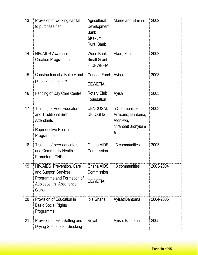| 13 | Provision of working capital<br>to purchase fish                                                                                  | Agricultural<br>Development<br><b>Bank</b><br>&Kakum<br><b>Rural Bank</b> | Moree and Elmina                                                          | 2002      |
|----|-----------------------------------------------------------------------------------------------------------------------------------|---------------------------------------------------------------------------|---------------------------------------------------------------------------|-----------|
| 14 | <b>HIV/AIDS Awareness</b><br><b>Creation Programme</b>                                                                            | <b>World Bank</b><br><b>Small Grant</b><br>s, CEWEFIA                     | Ekon, Elmina                                                              | 2002      |
| 15 | Construction of a Bakery and<br>preservation centre                                                                               | Canada Fund<br><b>CEWEFIA</b>                                             | Ayisa                                                                     | 2003      |
| 16 | Fencing of Day Care Centre                                                                                                        | <b>Rotary Club</b><br>Foundation                                          | Ayisa                                                                     | 2003      |
| 17 | <b>Training of Peer Educators</b><br>and Traditional Birth<br><b>Attendants</b><br>Reproductive Health<br>Programme               | CENCOSAD,<br>DFID, GHS                                                    | 5 Communities,<br>Amisano, Bantoma,<br>Atonkwa,<br>Ntranoa&Bronyibim<br>a | 2003      |
| 18 | Training of peer educators<br>and Community Health<br>Promoters (CHPs)                                                            | Ghana AIDS<br>Commission                                                  | 13 communities                                                            | 2003      |
| 19 | <b>HIV/AIDS</b> Prevention, Care<br>and Support Services<br>Programme and Formation of<br>Adolescent's Abstinence<br><b>Clubs</b> | Ghana AIDS<br>Commission<br><b>CEWEFIA</b>                                | 13 communities                                                            | 2003-2004 |
| 20 | Provision of Education in<br><b>Basic Social Rights</b><br>Programme                                                              | Ibis Ghana                                                                | Ayisa&Bantoma                                                             | 2004-2005 |
| 21 | Provision of Fish Salting and<br>Drying Sheds, Fish Smoking                                                                       | Royal                                                                     | Ayisa, Bantoma                                                            | 2005      |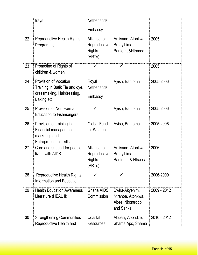|    | trays                                                                                                             | <b>Netherlands</b><br>Embassy                           |                                                                     |             |
|----|-------------------------------------------------------------------------------------------------------------------|---------------------------------------------------------|---------------------------------------------------------------------|-------------|
| 22 | <b>Reproductive Health Rights</b><br>Programme                                                                    | Alliance for<br>Reproductive<br><b>Rights</b><br>(ARTs) | Amisano, Atonkwa,<br>Bronyibima,<br>Bantoma&Ntranoa                 | 2005        |
| 23 | Promoting of Rights of<br>children & women                                                                        |                                                         | ✓                                                                   | 2005        |
| 24 | <b>Provision of Vocation</b><br>Training in Batik Tie and dye,<br>dressmaking, Hairdressing,<br><b>Baking etc</b> | Royal<br><b>Netherlands</b><br>Embassy                  | Ayisa, Bantoma                                                      | 2005-2006   |
| 25 | <b>Provision of Non-Formal</b><br><b>Education to Fishmongers</b>                                                 |                                                         | Ayisa, Bantoma                                                      | 2005-2006   |
| 26 | Provision of training in<br>Financial management,<br>marketing and<br><b>Entrepreneurial skills</b>               | <b>Global Fund</b><br>for Women                         | Ayisa, Bantoma                                                      | 2005-2006   |
| 27 | Care and support for people<br>living with AIDS                                                                   | Alliance for<br>Reproductive<br>Rights<br>(ARTs)        | Amisano, Atonkwa,<br>Bronyibima,<br>Bantoma & Ntranoa               | 2006        |
| 28 | <b>Reproductive Health Rights</b><br><b>Information and Education</b>                                             | ✓                                                       | $\checkmark$                                                        | 2006-2009   |
| 29 | <b>Health Education Awareness</b><br>Literature (HEAL II)                                                         | Ghana AIDS<br>Commission                                | Dwira-Akyenim,<br>Ntranoa, Atonkwa,<br>Abee, Nkontrodo<br>and Sanka | 2009 - 2012 |
| 30 | <b>Strengthening Communities</b><br>Reproductive Health and                                                       | Coastal<br><b>Resources</b>                             | Abuesi, Aboadze,<br>Shama Apo, Shama                                | 2010 - 2012 |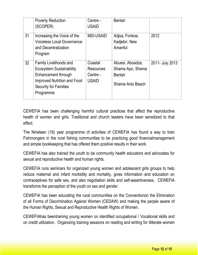|    | <b>Poverty Reduction</b><br>(SCOPER)                                                                                                                                       | Centre -<br><b>USAID</b>                                | <b>Bentsir</b>                                                             |                 |
|----|----------------------------------------------------------------------------------------------------------------------------------------------------------------------------|---------------------------------------------------------|----------------------------------------------------------------------------|-----------------|
| 31 | Increasing the Voice of the<br><b>Voiceless Local Governance</b><br>and Decentralization<br>Program                                                                        | <b>MSI-USAID</b>                                        | Adjoa, Fonkoe,<br>Kadjebir, New<br>Amanful                                 | 2012            |
| 32 | <b>Family Livelihoods and</b><br><b>Ecosystem Sustainability</b><br>Enhancement through<br><b>Improved Nutrition and Food</b><br><b>Security for Families</b><br>Programme | Coastal<br><b>Resources</b><br>Centre -<br><b>USAID</b> | Abuesi, Aboadze,<br>Shama Apo, Shama<br><b>Bentsir</b><br>Shama Anlo Beach | 2011- July 2013 |

CEWEFIA has been challenging harmful cultural practices that affect the reproductive health of women and girls. Traditional and church leaders have been sensitized to that effect.

The Nineteen (19) year programme of activities of CEWEFIA has found a way to train Fishmongers in the rural fishing communities to be practicing good financialmanagement and simple bookkeeping that has offered them positive results in their work.

CEWEFIA has also trained the youth to be community health educators and advocates for sexual and reproductive health and human rights.

CEWEFIA runs seminars for organized young women and adolescent girls groups to help reduce maternal and infant morbidity and mortality, gives information and education on contraceptives for safe sex, and also negotiation skills and self-assertiveness. CEWEFIA transforms the perception of the youth on sex and gender.

CEWEFIA has been educating the rural communities on the Conventionon the Elimination of all Forms of Discrimination Against Women (CEDAW) and making the people aware of the Human Rights, Sexual and Reproductive Health Rights of Women.

CEWEFIAhas beentraining young women on identified occupational / Vocational skills and on credit utilization. Organizing training sessions on reading and writing for illiterate women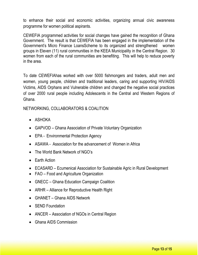to enhance their social and economic activities, organizing annual civic awareness programme for women political aspirants.

CEWEFIA programmed activities for social changes have gained the recognition of Ghana Government. The result is that CEWEFIA has been engaged in the implementation of the Government's Micro Finance LoansScheme to its organized and strengthened women groups in Eleven (11) rural communities in the KEEA Municipality in the Central Region. 30 women from each of the rural communities are benefiting. This will help to reduce poverty in the area.

To date CEWEFIAhas worked with over 5000 fishmongers and traders, adult men and women, young people, children and traditional leaders, caring and supporting HIV/AIDS Victims, AIDS Orphans and Vulnerable children and changed the negative social practices of over 2000 rural people including Adolescents in the Central and Western Regions of Ghana.

NETWORKING, COLLABORATORS & COALITION

- ASHOKA
- GAPVOD Ghana Association of Private Voluntary Organization
- EPA Environmental Protection Agency
- ASAWA Association for the advancement of Women in Africa
- The World Bank Network of NGO's
- Earth Action
- ECASARD Ecumenical Association for Sustainable Agric in Rural Development
- FAO Food and Agriculture Organization
- GNECC Ghana Education Campaign Coalition
- ARHR Alliance for Reproductive Health Right
- GHANET Ghana AIDS Network
- **SEND Foundation**
- ANCER Association of NGOs in Central Region
- Ghana AIDS Commission